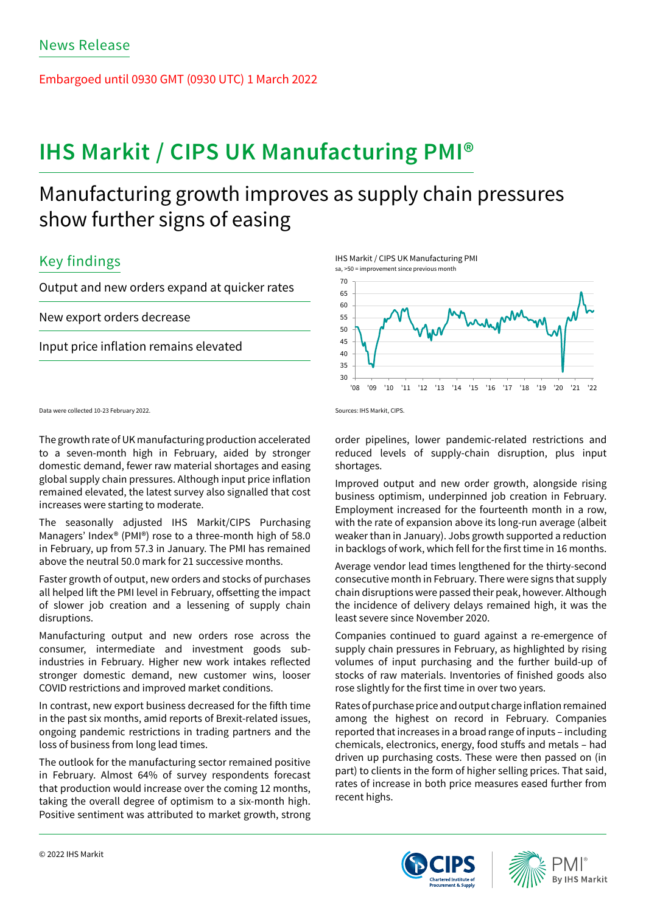Embargoed until 0930 GMT (0930 UTC) 1 March 2022

# **IHS Markit / CIPS UK Manufacturing PMI®**

## Manufacturing growth improves as supply chain pressures show further signs of easing

## Key findings

Output and new orders expand at quicker rates

New export orders decrease

Input price inflation remains elevated

Data were collected 10-23 February 2022.

The growth rate of UK manufacturing production accelerated to a seven-month high in February, aided by stronger domestic demand, fewer raw material shortages and easing global supply chain pressures. Although input price inflation remained elevated, the latest survey also signalled that cost increases were starting to moderate.

The seasonally adjusted IHS Markit/CIPS Purchasing Managers' Index® (PMI®) rose to a three-month high of 58.0 in February, up from 57.3 in January. The PMI has remained above the neutral 50.0 mark for 21 successive months.

Faster growth of output, new orders and stocks of purchases all helped lift the PMI level in February, offsetting the impact of slower job creation and a lessening of supply chain disruptions.

Manufacturing output and new orders rose across the consumer, intermediate and investment goods subindustries in February. Higher new work intakes reflected stronger domestic demand, new customer wins, looser COVID restrictions and improved market conditions.

In contrast, new export business decreased for the fifth time in the past six months, amid reports of Brexit-related issues, ongoing pandemic restrictions in trading partners and the loss of business from long lead times.

The outlook for the manufacturing sector remained positive in February. Almost 64% of survey respondents forecast that production would increase over the coming 12 months, taking the overall degree of optimism to a six-month high. Positive sentiment was attributed to market growth, strong

IHS Markit / CIPS UK Manufacturing PMI sa, >50 = improvement since previous month



Sources: IHS Markit, CIPS.

order pipelines, lower pandemic-related restrictions and reduced levels of supply-chain disruption, plus input shortages.

Improved output and new order growth, alongside rising business optimism, underpinned job creation in February. Employment increased for the fourteenth month in a row, with the rate of expansion above its long-run average (albeit weaker than in January). Jobs growth supported a reduction in backlogs of work, which fell for the first time in 16 months.

Average vendor lead times lengthened for the thirty-second consecutive month in February. There were signs that supply chain disruptions were passed their peak, however. Although the incidence of delivery delays remained high, it was the least severe since November 2020.

Companies continued to guard against a re-emergence of supply chain pressures in February, as highlighted by rising volumes of input purchasing and the further build-up of stocks of raw materials. Inventories of finished goods also rose slightly for the first time in over two years.

Rates of purchase price and output charge inflation remained among the highest on record in February. Companies reported that increases in a broad range of inputs – including chemicals, electronics, energy, food stuffs and metals – had driven up purchasing costs. These were then passed on (in part) to clients in the form of higher selling prices. That said, rates of increase in both price measures eased further from recent highs.



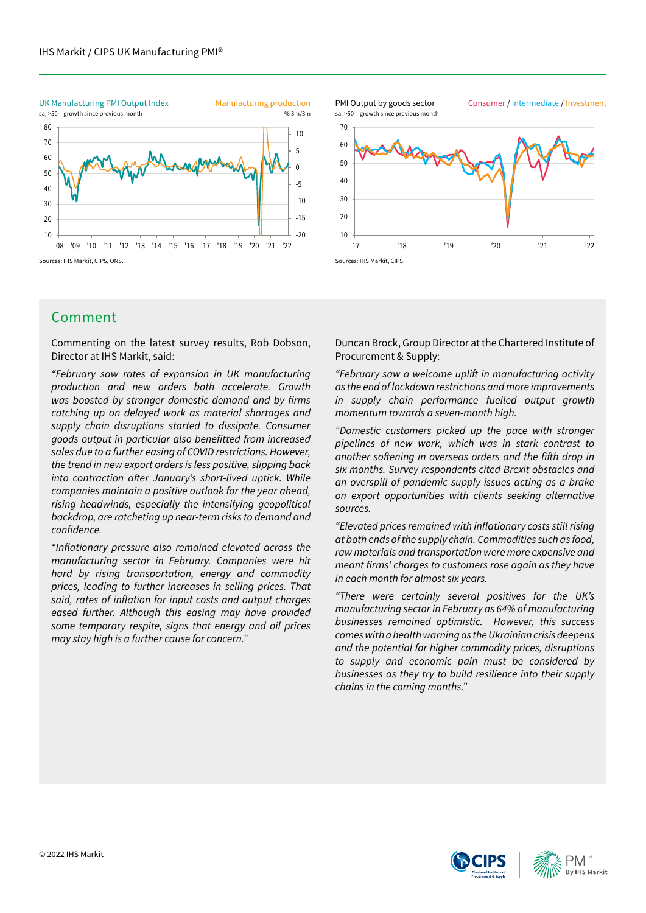

## Comment

Commenting on the latest survey results, Rob Dobson, Director at IHS Markit, said:

*"February saw rates of expansion in UK manufacturing production and new orders both accelerate. Growth*  was boosted by stronger domestic demand and by firms *catching up on delayed work as material shortages and supply chain disruptions started to dissipate. Consumer*  goods output in particular also benefitted from increased *sales due to a further easing of COVID restrictions. However, the trend in new export orders is less positive, slipping back*  into contraction after January's short-lived uptick. While *companies maintain a positive outlook for the year ahead, rising headwinds, especially the intensifying geopolitical*  backdrop, are ratcheting up near-term risks to demand and confidence.

"Inflationary pressure also remained elevated across the *manufacturing sector in February. Companies were hit hard by rising transportation, energy and commodity prices, leading to further increases in selling prices. That*  said, rates of inflation for input costs and output charges *eased further. Although this easing may have provided some temporary respite, signs that energy and oil prices may stay high is a further cause for concern."*

10 20 30 40 50 60 70 '17 '18 '19 '20 '21 '22 sa, >50 = growth since previous month PMI Output by goods sector

Consumer / Intermediate / Investment



Duncan Brock, Group Director at the Chartered Institute of Procurement & Supply:

"February saw a welcome uplift in manufacturing activity *as the end of lockdown restrictions and more improvements in supply chain performance fuelled output growth*  momentum towards a seven-month high.

*"Domestic customers picked up the pace with stronger pipelines of new work, which was in stark contrast to*  another softening in overseas orders and the fifth drop in *six months. Survey respondents cited Brexit obstacles and an overspill of pandemic supply issues acting as a brake on export opportunities with clients seeking alternative sources.*

"Elevated prices remained with inflationary costs still rising *at both ends of the supply chain. Commodities such as food, raw materials and transportation were more expensive and*  meant firms' charges to customers rose again as they have *in each month for almost six years.*

"There were certainly several positives for the UK's *manufacturing sector in February as 64% of manufacturing businesses remained optimistic. However, this success comes with a health warning as the Ukrainian crisis deepens and the potential for higher commodity prices, disruptions to supply and economic pain must be considered by businesses as they try to build resilience into their supply chains in the coming months."*